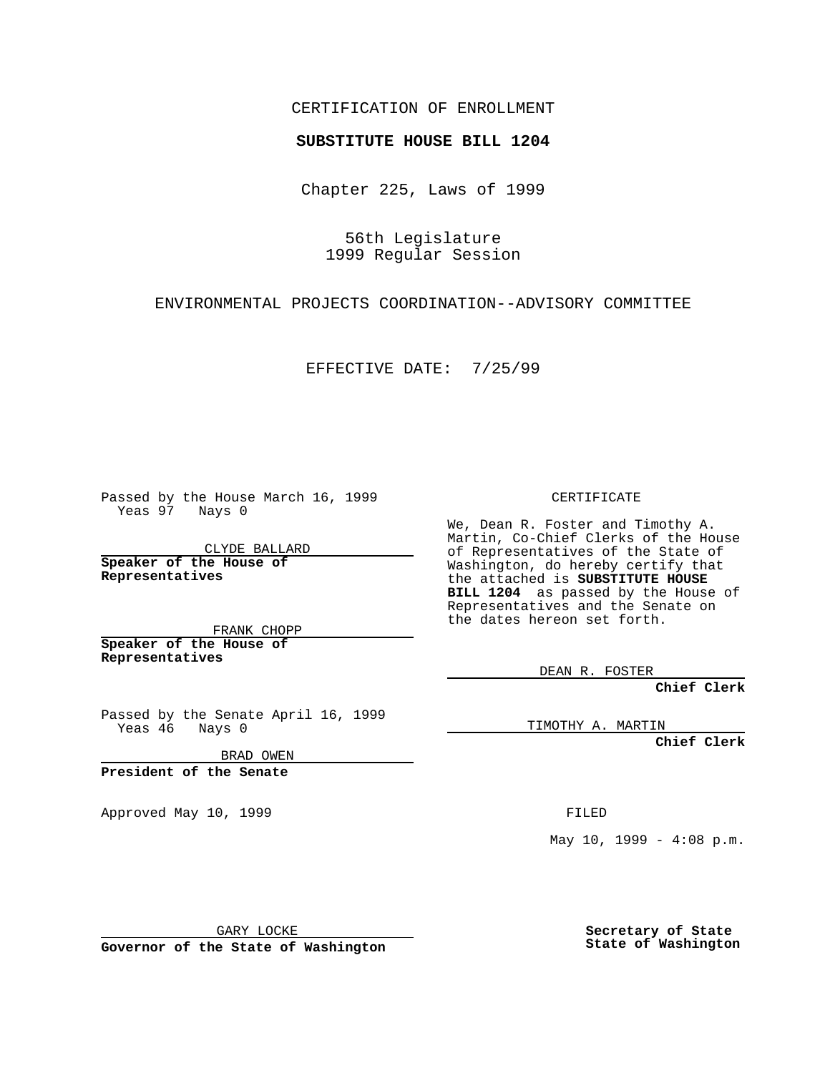## CERTIFICATION OF ENROLLMENT

## **SUBSTITUTE HOUSE BILL 1204**

Chapter 225, Laws of 1999

56th Legislature 1999 Regular Session

ENVIRONMENTAL PROJECTS COORDINATION--ADVISORY COMMITTEE

EFFECTIVE DATE: 7/25/99

Passed by the House March 16, 1999 Yeas 97 Nays 0

CLYDE BALLARD **Speaker of the House of Representatives**

FRANK CHOPP **Speaker of the House of Representatives**

Passed by the Senate April 16, 1999 Yeas 46 Nays 0

BRAD OWEN

**President of the Senate**

Approved May 10, 1999 **FILED** 

CERTIFICATE

We, Dean R. Foster and Timothy A. Martin, Co-Chief Clerks of the House of Representatives of the State of Washington, do hereby certify that the attached is **SUBSTITUTE HOUSE BILL 1204** as passed by the House of Representatives and the Senate on the dates hereon set forth.

DEAN R. FOSTER

**Chief Clerk**

TIMOTHY A. MARTIN

**Chief Clerk**

May  $10$ ,  $1999 - 4:08$  p.m.

GARY LOCKE

**Governor of the State of Washington**

**Secretary of State State of Washington**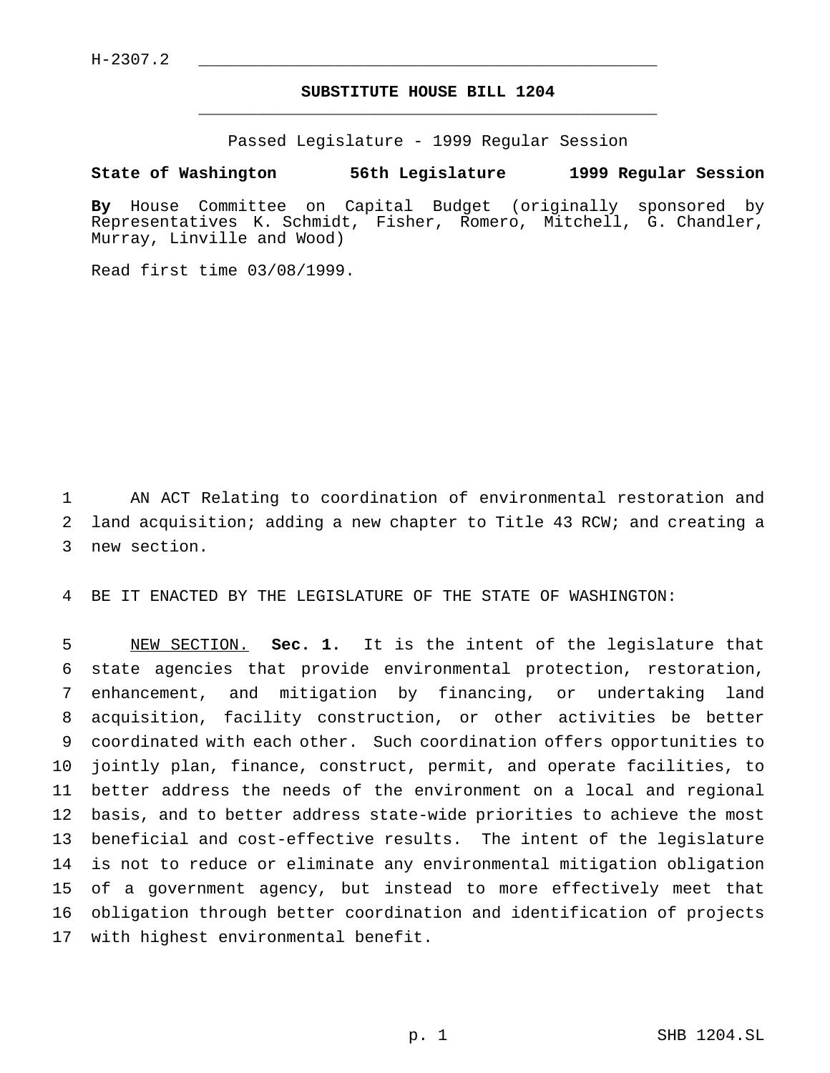$H-2307.2$ 

## **SUBSTITUTE HOUSE BILL 1204** \_\_\_\_\_\_\_\_\_\_\_\_\_\_\_\_\_\_\_\_\_\_\_\_\_\_\_\_\_\_\_\_\_\_\_\_\_\_\_\_\_\_\_\_\_\_\_

Passed Legislature - 1999 Regular Session

## **State of Washington 56th Legislature 1999 Regular Session**

**By** House Committee on Capital Budget (originally sponsored by Representatives K. Schmidt, Fisher, Romero, Mitchell, G. Chandler, Murray, Linville and Wood)

Read first time 03/08/1999.

 AN ACT Relating to coordination of environmental restoration and land acquisition; adding a new chapter to Title 43 RCW; and creating a new section.

BE IT ENACTED BY THE LEGISLATURE OF THE STATE OF WASHINGTON:

 NEW SECTION. **Sec. 1.** It is the intent of the legislature that state agencies that provide environmental protection, restoration, enhancement, and mitigation by financing, or undertaking land acquisition, facility construction, or other activities be better coordinated with each other. Such coordination offers opportunities to jointly plan, finance, construct, permit, and operate facilities, to better address the needs of the environment on a local and regional basis, and to better address state-wide priorities to achieve the most beneficial and cost-effective results. The intent of the legislature is not to reduce or eliminate any environmental mitigation obligation of a government agency, but instead to more effectively meet that obligation through better coordination and identification of projects with highest environmental benefit.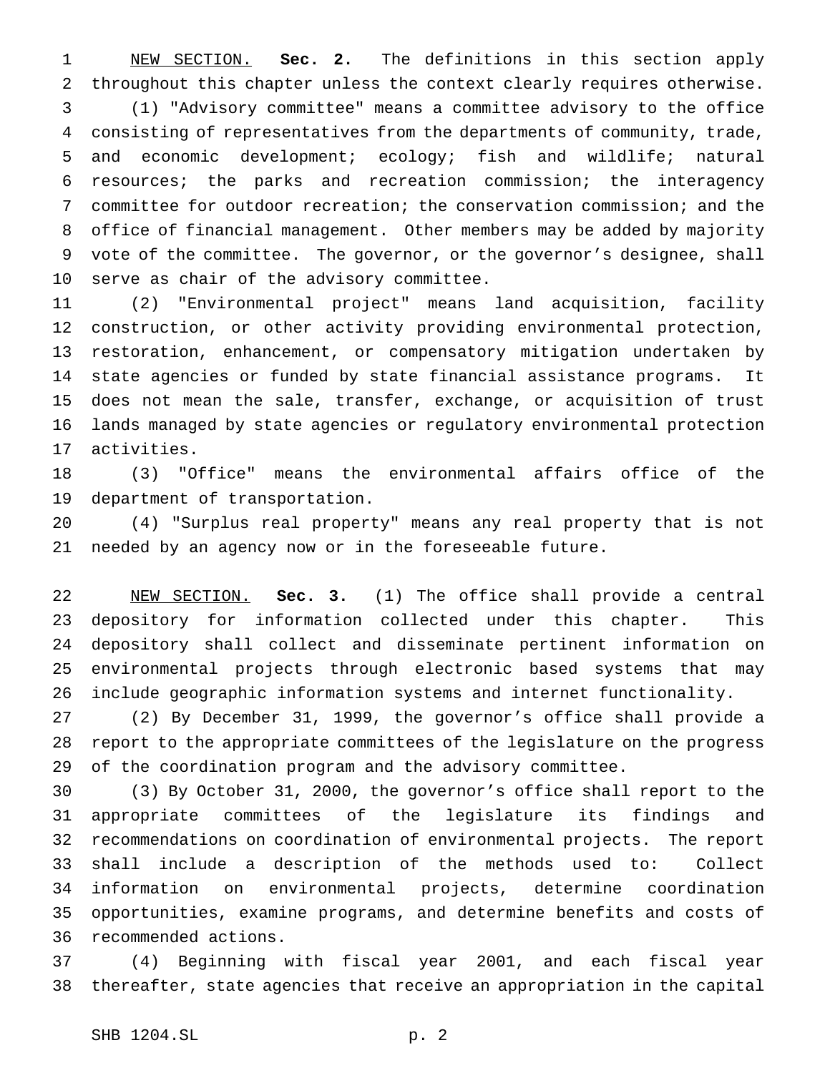NEW SECTION. **Sec. 2.** The definitions in this section apply throughout this chapter unless the context clearly requires otherwise. (1) "Advisory committee" means a committee advisory to the office consisting of representatives from the departments of community, trade, and economic development; ecology; fish and wildlife; natural resources; the parks and recreation commission; the interagency committee for outdoor recreation; the conservation commission; and the office of financial management. Other members may be added by majority vote of the committee. The governor, or the governor's designee, shall serve as chair of the advisory committee.

 (2) "Environmental project" means land acquisition, facility construction, or other activity providing environmental protection, restoration, enhancement, or compensatory mitigation undertaken by state agencies or funded by state financial assistance programs. It does not mean the sale, transfer, exchange, or acquisition of trust lands managed by state agencies or regulatory environmental protection activities.

 (3) "Office" means the environmental affairs office of the department of transportation.

 (4) "Surplus real property" means any real property that is not needed by an agency now or in the foreseeable future.

 NEW SECTION. **Sec. 3.** (1) The office shall provide a central depository for information collected under this chapter. This depository shall collect and disseminate pertinent information on environmental projects through electronic based systems that may include geographic information systems and internet functionality.

 (2) By December 31, 1999, the governor's office shall provide a report to the appropriate committees of the legislature on the progress of the coordination program and the advisory committee.

 (3) By October 31, 2000, the governor's office shall report to the appropriate committees of the legislature its findings and recommendations on coordination of environmental projects. The report shall include a description of the methods used to: Collect information on environmental projects, determine coordination opportunities, examine programs, and determine benefits and costs of recommended actions.

 (4) Beginning with fiscal year 2001, and each fiscal year thereafter, state agencies that receive an appropriation in the capital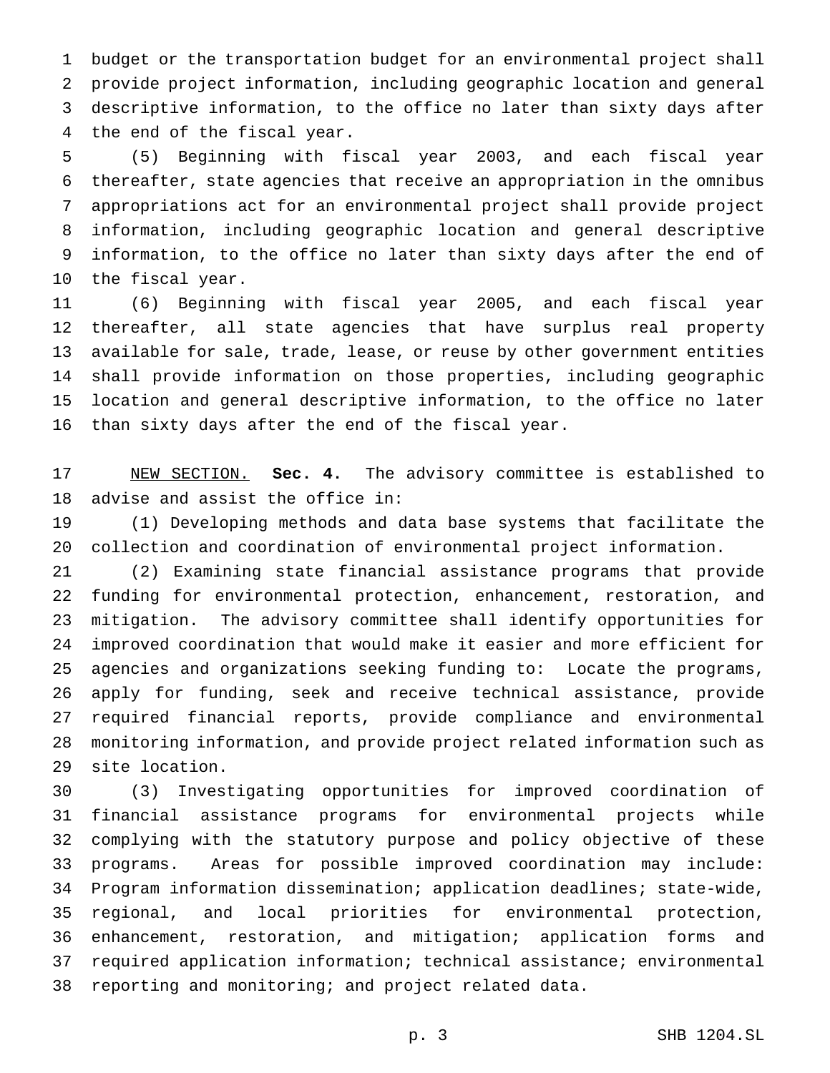budget or the transportation budget for an environmental project shall provide project information, including geographic location and general descriptive information, to the office no later than sixty days after the end of the fiscal year.

 (5) Beginning with fiscal year 2003, and each fiscal year thereafter, state agencies that receive an appropriation in the omnibus appropriations act for an environmental project shall provide project information, including geographic location and general descriptive information, to the office no later than sixty days after the end of the fiscal year.

 (6) Beginning with fiscal year 2005, and each fiscal year thereafter, all state agencies that have surplus real property available for sale, trade, lease, or reuse by other government entities shall provide information on those properties, including geographic location and general descriptive information, to the office no later than sixty days after the end of the fiscal year.

 NEW SECTION. **Sec. 4.** The advisory committee is established to advise and assist the office in:

 (1) Developing methods and data base systems that facilitate the collection and coordination of environmental project information.

 (2) Examining state financial assistance programs that provide funding for environmental protection, enhancement, restoration, and mitigation. The advisory committee shall identify opportunities for improved coordination that would make it easier and more efficient for agencies and organizations seeking funding to: Locate the programs, apply for funding, seek and receive technical assistance, provide required financial reports, provide compliance and environmental monitoring information, and provide project related information such as site location.

 (3) Investigating opportunities for improved coordination of financial assistance programs for environmental projects while complying with the statutory purpose and policy objective of these programs. Areas for possible improved coordination may include: Program information dissemination; application deadlines; state-wide, regional, and local priorities for environmental protection, enhancement, restoration, and mitigation; application forms and required application information; technical assistance; environmental reporting and monitoring; and project related data.